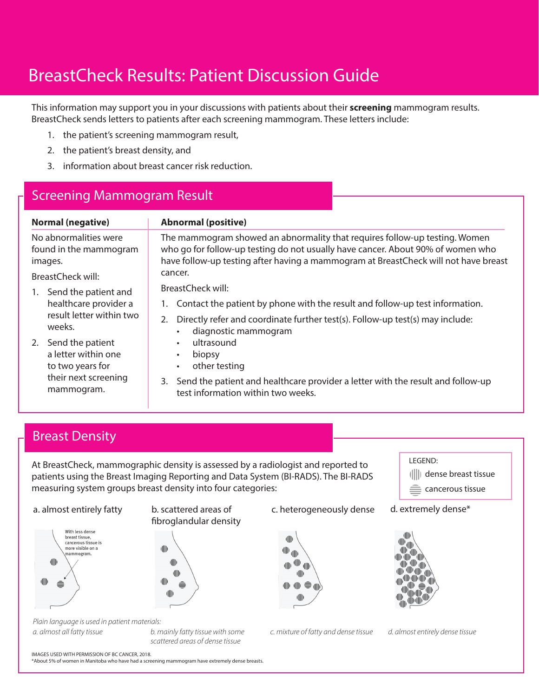# BreastCheck Results: Patient Discussion Guide

This information may support you in your discussions with patients about their **screening** mammogram results. BreastCheck sends letters to patients after each screening mammogram. These letters include:

- 1. the patient's screening mammogram result,
- 2. the patient's breast density, and
- 3. information about breast cancer risk reduction.

# Screening Mammogram Result

| <b>Normal (negative)</b>                                                                                | <b>Abnormal (positive)</b>                                                                                                                                                                                                                           |
|---------------------------------------------------------------------------------------------------------|------------------------------------------------------------------------------------------------------------------------------------------------------------------------------------------------------------------------------------------------------|
| No abnormalities were<br>found in the mammogram<br>images.                                              | The mammogram showed an abnormality that requires follow-up testing. Women<br>who go for follow-up testing do not usually have cancer. About 90% of women who<br>have follow-up testing after having a mammogram at BreastCheck will not have breast |
| BreastCheck will:                                                                                       | cancer.                                                                                                                                                                                                                                              |
| Send the patient and<br>1.<br>healthcare provider a<br>result letter within two<br>weeks.               | <b>BreastCheck will:</b><br>Contact the patient by phone with the result and follow-up test information.<br>Directly refer and coordinate further test(s). Follow-up test(s) may include:<br>diagnostic mammogram                                    |
| Send the patient<br>2.<br>a letter within one<br>to two years for<br>their next screening<br>mammogram. | ultrasound<br>$\bullet$<br>biopsy<br>$\bullet$<br>other testing<br>Send the patient and healthcare provider a letter with the result and follow-up<br>3.<br>test information within two weeks.                                                       |

## Breast Density

At BreastCheck, mammographic density is assessed by a radiologist and reported to patients using the Breast Imaging Reporting and Data System (BI-RADS). The BI-RADS measuring system groups breast density into four categories:

a. almost entirely fatty b. scattered areas of







c. heterogeneously dense d. extremely dense\*



 $(III)$ 

 $\triangleq$  cancerous tissue (III) dense breast tissue

LEGEND:

业

40 to 10<br>40 to 10 to 10

tt (

'illi) an

IIII) dIII) dIII)

⊪⊪

*scattered areas of dense tissue Plain language is used in patient materials: a. almost all fatty tissue b. mainly fatty tissue with some c. mixture of fatty and dense tissue d. almost entirely dense tissue*

IMAGES USED WITH PERMISSION OF BC CANCER, 2018. \*About 5% of women in Manitoba who have had a screening mammogram have extremely dense breasts.